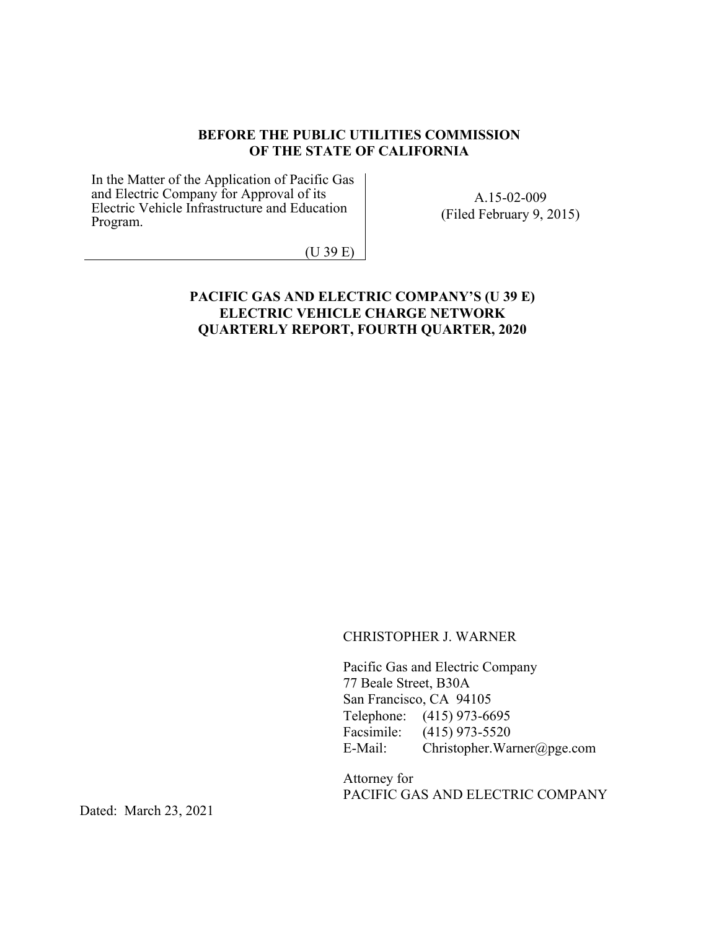#### **BEFORE THE PUBLIC UTILITIES COMMISSION OF THE STATE OF CALIFORNIA**

In the Matter of the Application of Pacific Gas and Electric Company for Approval of its Electric Vehicle Infrastructure and Education Program.

A.15-02-009 (Filed February 9, 2015)

(U 39 E)

#### **PACIFIC GAS AND ELECTRIC COMPANY'S (U 39 E) ELECTRIC VEHICLE CHARGE NETWORK QUARTERLY REPORT, FOURTH QUARTER, 2020**

CHRISTOPHER J. WARNER

Pacific Gas and Electric Company 77 Beale Street, B30A San Francisco, CA 94105 Telephone: (415) 973-6695 Facsimile: (415) 973-5520 E-Mail: Christopher.Warner@pge.com

Attorney for PACIFIC GAS AND ELECTRIC COMPANY

Dated: March 23, 2021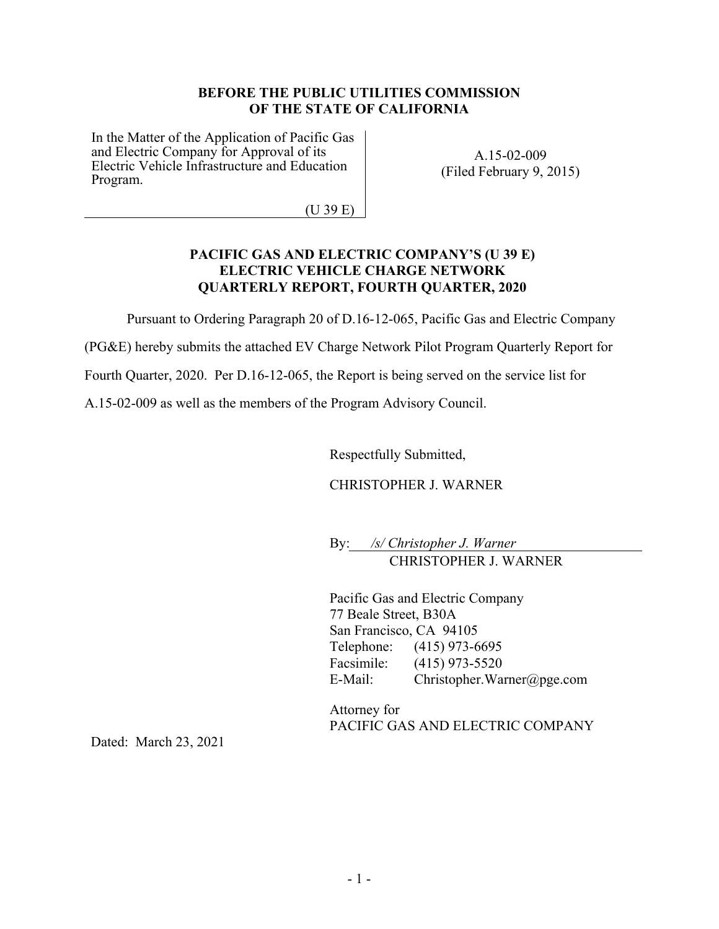#### **BEFORE THE PUBLIC UTILITIES COMMISSION OF THE STATE OF CALIFORNIA**

In the Matter of the Application of Pacific Gas and Electric Company for Approval of its Electric Vehicle Infrastructure and Education Program.

A.15-02-009 (Filed February 9, 2015)

(U 39 E)

#### **PACIFIC GAS AND ELECTRIC COMPANY'S (U 39 E) ELECTRIC VEHICLE CHARGE NETWORK QUARTERLY REPORT, FOURTH QUARTER, 2020**

Pursuant to Ordering Paragraph 20 of D.16-12-065, Pacific Gas and Electric Company

(PG&E) hereby submits the attached EV Charge Network Pilot Program Quarterly Report for

Fourth Quarter, 2020. Per D.16-12-065, the Report is being served on the service list for

A.15-02-009 as well as the members of the Program Advisory Council.

Respectfully Submitted,

CHRISTOPHER J. WARNER

By: */s/ Christopher J. Warner* CHRISTOPHER J. WARNER

Pacific Gas and Electric Company 77 Beale Street, B30A San Francisco, CA 94105 Telephone: (415) 973-6695 Facsimile: (415) 973-5520 E-Mail: Christopher.Warner@pge.com

Attorney for PACIFIC GAS AND ELECTRIC COMPANY

Dated: March 23, 2021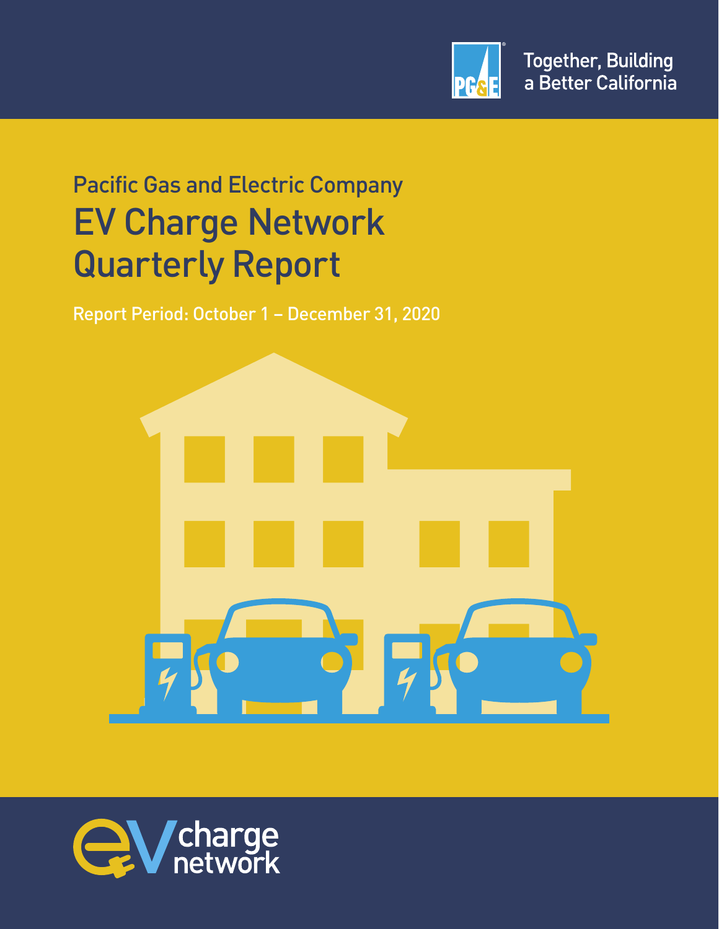

# Pacific Gas and Electric Company EV Charge Network Quarterly Report

Report Period: October 1 – December 31, 2020



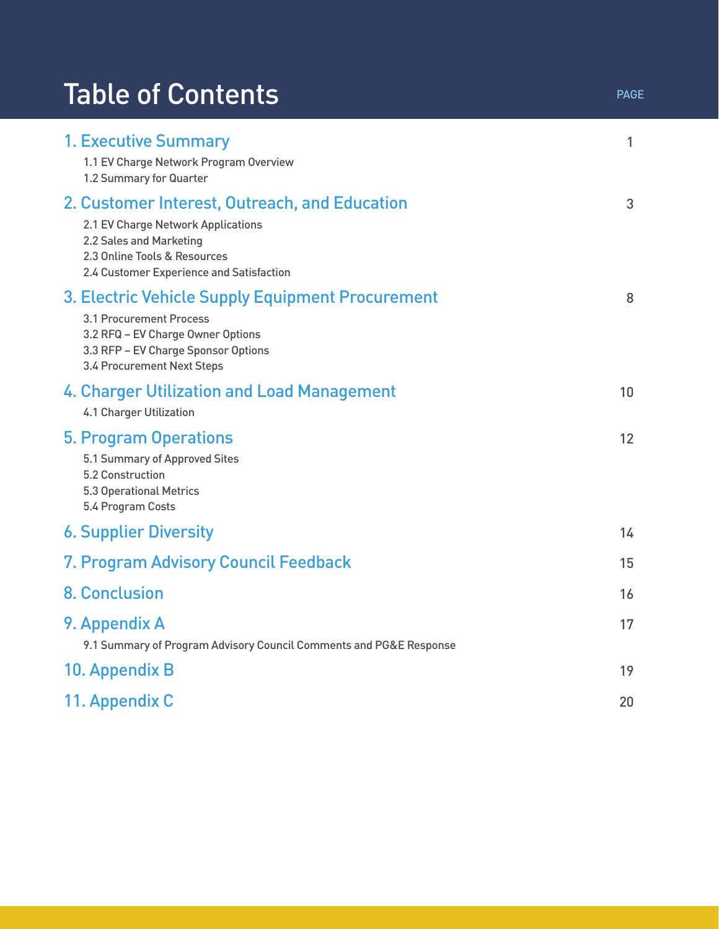# Table of Contents **Table of Contents**

| <b>1. Executive Summary</b><br>1.1 EV Charge Network Program Overview<br>1.2 Summary for Quarter                                                                                           | 1  |
|--------------------------------------------------------------------------------------------------------------------------------------------------------------------------------------------|----|
| 2. Customer Interest, Outreach, and Education<br>2.1 EV Charge Network Applications<br>2.2 Sales and Marketing<br>2.3 Online Tools & Resources<br>2.4 Customer Experience and Satisfaction | 3  |
| 3. Electric Vehicle Supply Equipment Procurement<br>3.1 Procurement Process<br>3.2 RFQ - EV Charge Owner Options<br>3.3 RFP - EV Charge Sponsor Options<br>3.4 Procurement Next Steps      | 8  |
| 4. Charger Utilization and Load Management<br><b>4.1 Charger Utilization</b>                                                                                                               | 10 |
| <b>5. Program Operations</b><br>5.1 Summary of Approved Sites<br>5.2 Construction<br><b>5.3 Operational Metrics</b><br>5.4 Program Costs                                                   | 12 |
| <b>6. Supplier Diversity</b>                                                                                                                                                               | 14 |
| 7. Program Advisory Council Feedback                                                                                                                                                       | 15 |
| <b>8. Conclusion</b>                                                                                                                                                                       | 16 |
| 9. Appendix A<br>9.1 Summary of Program Advisory Council Comments and PG&E Response                                                                                                        | 17 |
| 10. Appendix B                                                                                                                                                                             | 19 |
| 11. Appendix C                                                                                                                                                                             | 20 |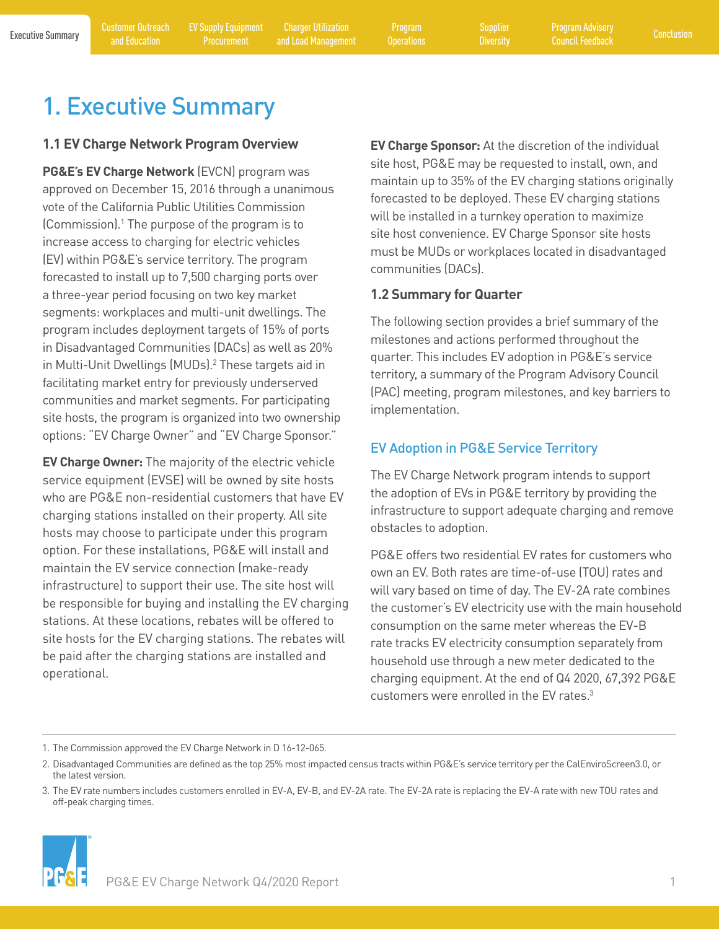<span id="page-4-0"></span>

Program

**[Diversity](#page-17-0)** 

# 1. Executive Summary

### **1.1 EV Charge Network Program Overview**

**PG&E's EV Charge Network** (EVCN) program was approved on December 15, 2016 through a unanimous vote of the California Public Utilities Commission (Commission).1 The purpose of the program is to increase access to charging for electric vehicles (EV) within PG&E's service territory. The program forecasted to install up to 7,500 charging ports over a three-year period focusing on two key market segments: workplaces and multi-unit dwellings. The program includes deployment targets of 15% of ports in Disadvantaged Communities (DACs) as well as 20% in Multi-Unit Dwellings (MUDs).<sup>2</sup> These targets aid in facilitating market entry for previously underserved communities and market segments. For participating site hosts, the program is organized into two ownership options: "EV Charge Owner" and "EV Charge Sponsor."

**EV Charge Owner:** The majority of the electric vehicle service equipment (EVSE) will be owned by site hosts who are PG&E non-residential customers that have EV charging stations installed on their property. All site hosts may choose to participate under this program option. For these installations, PG&E will install and maintain the EV service connection (make-ready infrastructure) to support their use. The site host will be responsible for buying and installing the EV charging stations. At these locations, rebates will be offered to site hosts for the EV charging stations. The rebates will be paid after the charging stations are installed and operational.

**EV Charge Sponsor:** At the discretion of the individual site host, PG&E may be requested to install, own, and maintain up to 35% of the EV charging stations originally forecasted to be deployed. These EV charging stations will be installed in a turnkey operation to maximize site host convenience. EV Charge Sponsor site hosts must be MUDs or workplaces located in disadvantaged communities (DACs).

### **1.2 Summary for Quarter**

The following section provides a brief summary of the milestones and actions performed throughout the quarter. This includes EV adoption in PG&E's service territory, a summary of the Program Advisory Council (PAC) meeting, program milestones, and key barriers to implementation.

## EV Adoption in PG&E Service Territory

The EV Charge Network program intends to support the adoption of EVs in PG&E territory by providing the infrastructure to support adequate charging and remove obstacles to adoption.

PG&E offers two residential EV rates for customers who own an EV. Both rates are time-of-use (TOU) rates and will vary based on time of day. The EV-2A rate combines the customer's EV electricity use with the main household consumption on the same meter whereas the EV-B rate tracks EV electricity consumption separately from household use through a new meter dedicated to the charging equipment. At the end of Q4 2020, 67,392 PG&E customers were enrolled in the EV rates.<sup>3</sup>

1. The Commission approved the EV Charge Network in D 16-12-065.

<sup>3.</sup> The EV rate numbers includes customers enrolled in EV-A, EV-B, and EV-2A rate. The EV-2A rate is replacing the EV-A rate with new TOU rates and off-peak charging times.



<sup>2.</sup> Disadvantaged Communities are defined as the top 25% most impacted census tracts within PG&E's service territory per the CalEnviroScreen3.0, or the latest version.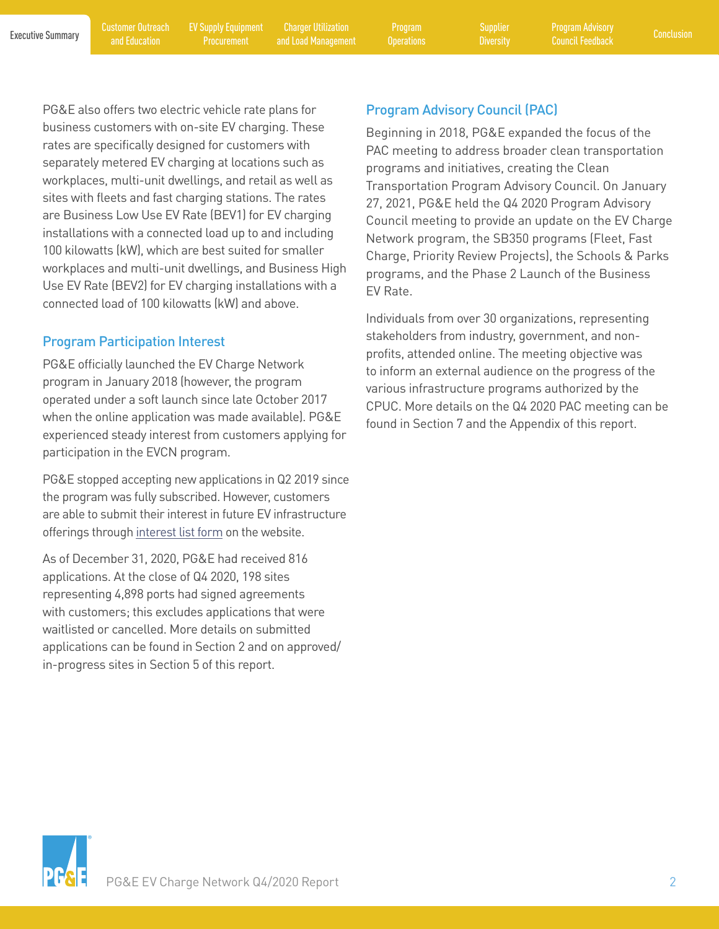and Education

[EV Supply Equipment](#page-11-0)  **Procurement** 

Executive Summary Customer Outreach EV Supply Equipment Charger Utilization Program Supplier Program Advisory<br>Executive Summary and Education Procurament and Load Management Operations Diversity Council Eoedback [Conclusion](#page-19-0) Charger Utilization [and Load Management](#page-13-0)

Program

**[Diversity](#page-17-0)** 

PG&E also offers two electric vehicle rate plans for business customers with on-site EV charging. These rates are specifically designed for customers with separately metered EV charging at locations such as workplaces, multi-unit dwellings, and retail as well as sites with fleets and fast charging stations. The rates are Business Low Use EV Rate (BEV1) for EV charging installations with a connected load up to and including 100 kilowatts (kW), which are best suited for smaller workplaces and multi-unit dwellings, and Business High Use EV Rate (BEV2) for EV charging installations with a connected load of 100 kilowatts (kW) and above.

### Program Participation Interest

PG&E officially launched the EV Charge Network program in January 2018 (however, the program operated under a soft launch since late October 2017 when the online application was made available). PG&E experienced steady interest from customers applying for participation in the EVCN program.

PG&E stopped accepting new applications in Q2 2019 since the program was fully subscribed. However, customers are able to submit their interest in future EV infrastructure offerings through [interest list form](https://pages.em.pge.com/page.aspx?QS=38dfbe491fab00ea2b2972b9fdcd92725e0d1a151830c81769dc5107c2ea4485) on the website.

As of December 31, 2020, PG&E had received 816 applications. At the close of Q4 2020, 198 sites representing 4,898 ports had signed agreements with customers; this excludes applications that were waitlisted or cancelled. More details on submitted applications can be found in Section 2 and on approved/ in-progress sites in Section 5 of this report.

### Program Advisory Council (PAC)

Beginning in 2018, PG&E expanded the focus of the PAC meeting to address broader clean transportation programs and initiatives, creating the Clean Transportation Program Advisory Council. On January 27, 2021, PG&E held the Q4 2020 Program Advisory Council meeting to provide an update on the EV Charge Network program, the SB350 programs (Fleet, Fast Charge, Priority Review Projects), the Schools & Parks programs, and the Phase 2 Launch of the Business EV Rate.

Individuals from over 30 organizations, representing stakeholders from industry, government, and nonprofits, attended online. The meeting objective was to inform an external audience on the progress of the various infrastructure programs authorized by the CPUC. More details on the Q4 2020 PAC meeting can be found in Section 7 and the Appendix of this report.

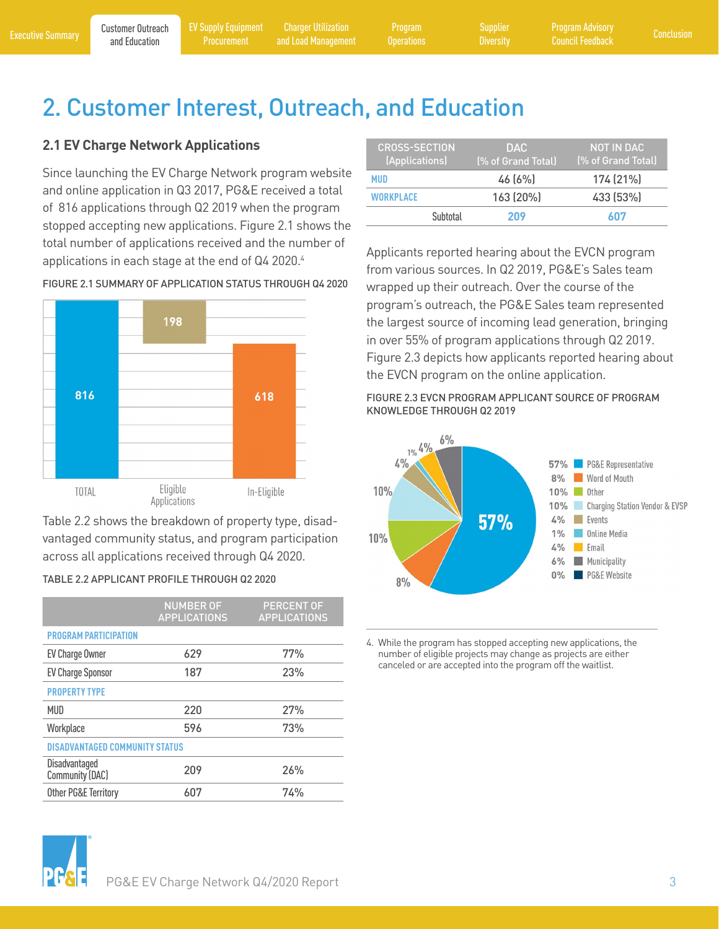Program

**[Diversity](#page-17-0)** 

# <span id="page-6-0"></span>**2.1 EV Charge Network Applications**

Since launching the EV Charge Network program website and online application in Q3 2017, PG&E received a total of 816 applications through Q2 2019 when the program stopped accepting new applications. Figure 2.1 shows the total number of applications received and the number of applications in each stage at the end of Q4 2020.<sup>4</sup>



FIGURE 2.1 SUMMARY OF APPLICATION STATUS THROUGH Q4 2020

Table 2.2 shows the breakdown of property type, disadvantaged community status, and program participation across all applications received through Q4 2020.

| TABLE 2.2 APPLICANT PROFILE THROUGH Q2 2020 |  |
|---------------------------------------------|--|
|---------------------------------------------|--|

|                                       | <b>NUMBER OF</b><br><b>APPLICATIONS</b> | <b>PERCENT OF</b><br><b>APPLICATIONS</b> |
|---------------------------------------|-----------------------------------------|------------------------------------------|
| <b>PROGRAM PARTICIPATION</b>          |                                         |                                          |
| EV Charge Owner                       | 629                                     | 77%                                      |
| <b>EV Charge Sponsor</b>              | 187                                     | 23%                                      |
| <b>PROPERTY TYPE</b>                  |                                         |                                          |
| MUD                                   | 220                                     | 27%                                      |
| Workplace                             | 596                                     | 73%                                      |
| <b>DISADVANTAGED COMMUNITY STATUS</b> |                                         |                                          |
| Disadvantaged<br>Community (DAC)      | 209                                     | 26%                                      |
| Other PG&E Territory                  | 607                                     | 74%                                      |

| <b>CROSS-SECTION</b><br>(Applications) | DAC.<br>(% of Grand Total) | <b>NOT IN DAC</b><br>(% of Grand Total) |
|----------------------------------------|----------------------------|-----------------------------------------|
| MUD                                    | 46(6%)                     | 174 (21%)                               |
| WORKPI ACF                             | 163 (20%)                  | 433 (53%)                               |
| Subtotal                               | 209                        | 607                                     |

Applicants reported hearing about the EVCN program from various sources. In Q2 2019, PG&E's Sales team wrapped up their outreach. Over the course of the program's outreach, the PG&E Sales team represented the largest source of incoming lead generation, bringing in over 55% of program applications through Q2 2019. Figure 2.3 depicts how applicants reported hearing about the EVCN program on the online application.

FIGURE 2.3 EVCN PROGRAM APPLICANT SOURCE OF PROGRAM KNOWLEDGE THROUGH Q2 2019



4. While the program has stopped accepting new applications, the number of eligible projects may change as projects are either canceled or are accepted into the program off the waitlist.

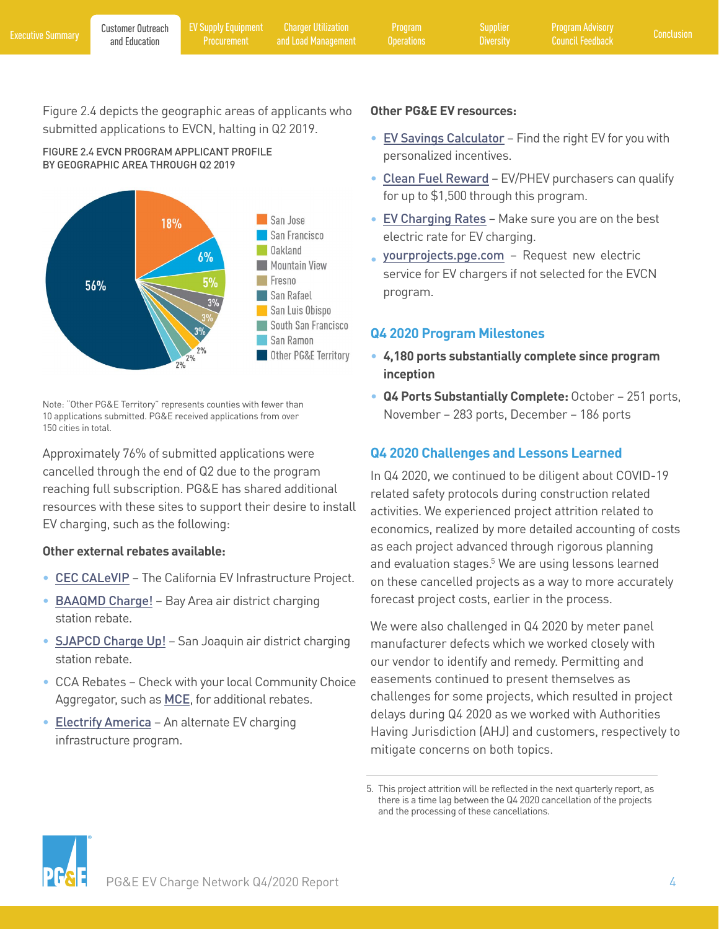<span id="page-7-0"></span>Figure 2.4 depicts the geographic areas of applicants who submitted applications to EVCN, halting in Q2 2019.

FIGURE 2.4 EVCN PROGRAM APPLICANT PROFILE BY GEOGRAPHIC AREA THROUGH Q2 2019



Note: "Other PG&E Territory" represents counties with fewer than 10 applications submitted. PG&E received applications from over 150 cities in total.

Approximately 76% of submitted applications were cancelled through the end of Q2 due to the program reaching full subscription. PG&E has shared additional resources with these sites to support their desire to install EV charging, such as the following:

#### **Other external rebates available:**

- [CEC CALeVIP](https://calevip.org/) The California EV Infrastructure Project.
- [BAAQMD Charge!](http://www.baaqmd.gov/funding-and-incentives/businesses-and-fleets/charge) Bay Area air district charging station rebate.
- **[SJAPCD Charge Up!](http://www.valleyair.org/grants/chargeup.htm)** San Joaquin air district charging station rebate.
- CCA Rebates Check with your local Community Choice Aggregator, such as **[MCE](https://www.mcecleanenergy.org/ev-charging/#EVSErebates)**, for additional rebates.
- [Electrify America](https://www.electrifyamerica.com/submissions) An alternate EV charging infrastructure program.

#### **Other PG&E EV resources:**

- [EV Savings Calculator](https://ev.pge.com/) Find the right EV for you with personalized incentives.
- Clean [Fuel Rew](https://cleanfuelreward.com/)ard EV/PHEV purchasers can qualify for up to \$1,500 through this program.
- EV [Charging](https://www.pge.com/en_US/residential/rate-plans/rate-plan-options/electric-vehicle-base-plan/electric-vehicle-base-plan.page) Rates Make sure you are on the best electric rate for EV charging.
- [yourprojects.pge.com](https://yourprojects-pge.com) Request new electric service for EV chargers if not selected for the EVCN program.

### **Q4 2020 Program Milestones**

- **4,180 ports substantially complete since program inception**
- **Q4 Ports Substantially Complete:** October 251 ports, November – 283 ports, December – 186 ports

## **Q4 2020 Challenges and Lessons Learned**

In Q4 2020, we continued to be diligent about COVID-19 related safety protocols during construction related activities. We experienced project attrition related to economics, realized by more detailed accounting of costs as each project advanced through rigorous planning and evaluation stages.<sup>5</sup> We are using lessons learned on these cancelled projects as a way to more accurately forecast project costs, earlier in the process.

We were also challenged in Q4 2020 by meter panel manufacturer defects which we worked closely with our vendor to identify and remedy. Permitting and easements continued to present themselves as challenges for some projects, which resulted in project delays during Q4 2020 as we worked with Authorities Having Jurisdiction (AHJ) and customers, respectively to mitigate concerns on both topics.



<sup>5.</sup> This project attrition will be reflected in the next quarterly report, as there is a time lag between the Q4 2020 cancellation of the projects and the processing of these cancellations.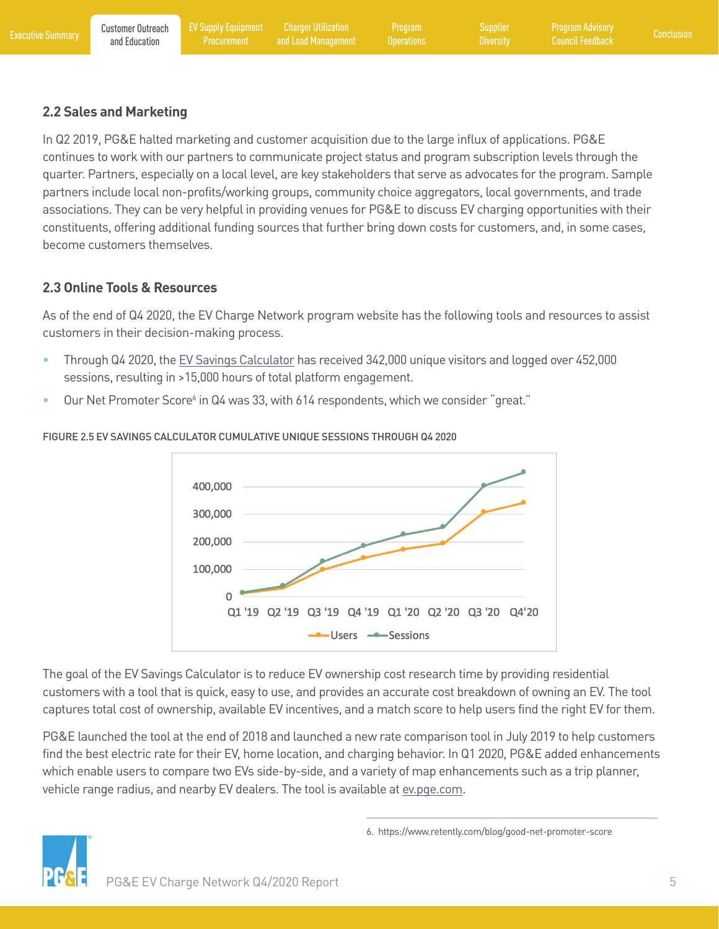### <span id="page-8-0"></span>**2.2 Sales and Marketing**

In Q2 2019, PG&E halted marketing and customer acquisition due to the large influx of applications. PG&E continues to work with our partners to communicate project status and program subscription levels through the quarter. Partners, especially on a local level, are key stakeholders that serve as advocates for the program. Sample partners include local non-profits/working groups, community choice aggregators, local governments, and trade associations. They can be very helpful in providing venues for PG&E to discuss EV charging opportunities with their constituents, offering additional funding sources that further bring down costs for customers, and, in some cases, become customers themselves.

### **2.3 Online Tools & Resources**

As of the end of Q4 2020, the EV Charge Network program website has the following tools and resources to assist customers in their decision-making process.

- Through Q4 2020, the [EV Savings Calculator](http://ev.pge.com/) has received 342,000 unique visitors and logged over 452,000 sessions, resulting in >15,000 hours of total platform engagement.
- Our Net Promoter Score<sup>6</sup> in Q4 was 33, with 614 respondents, which we consider "great."



#### FIGURE 2.5 EV SAVINGS CALCULATOR CUMULATIVE UNIQUE SESSIONS THROUGH Q4 2020

The goal of the EV Savings Calculator is to reduce EV ownership cost research time by providing residential customers with a tool that is quick, easy to use, and provides an accurate cost breakdown of owning an EV. The tool captures total cost of ownership, available EV incentives, and a match score to help users find the right EV for them.

PG&E launched the tool at the end of 2018 and launched a new rate comparison tool in July 2019 to help customers find the best electric rate for their EV, home location, and charging behavior. In Q1 2020, PG&E added enhancements which enable users to compare two EVs side-by-side, and a variety of map enhancements such as a trip planner, vehicle range radius, and nearby EV dealers. The tool is available at [ev.pge.com.](http://ev.pge.com)



6. https://www.retently.com/blog/good-net-promoter-score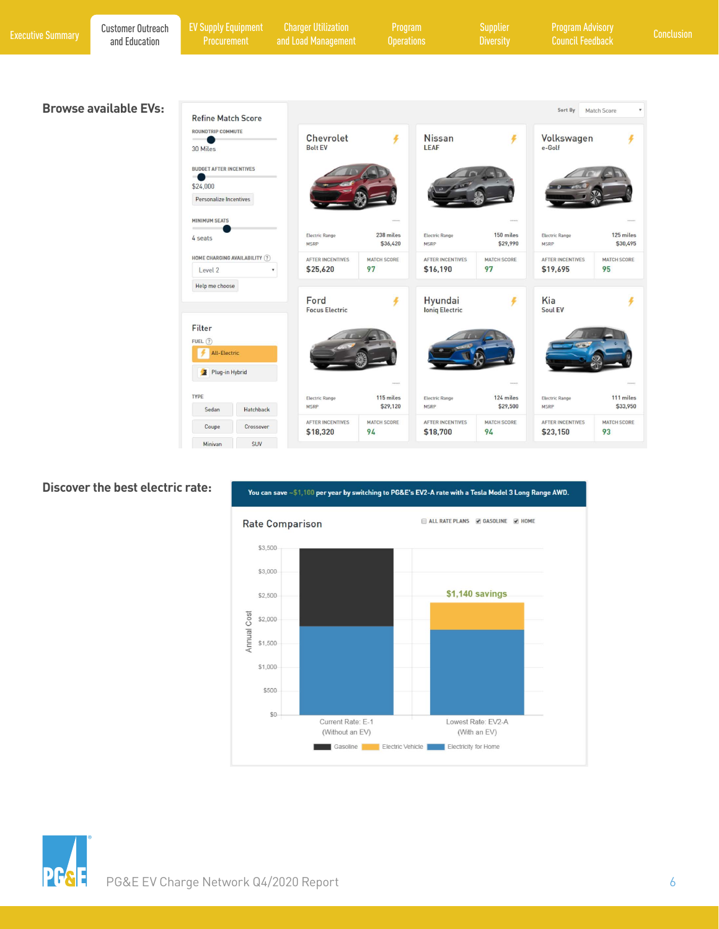| <b>Executive Summary</b> | <b>Customer Outreach</b><br>and Education | <b>EV Supply Equipment</b><br>Procurement                                              | <b>Charger Utilization</b><br>and Load Management | Program<br><b>Operations</b>  |                                         | <b>Supplier</b><br><b>Diversity</b> | <b>Program Advisory</b><br><b>Council Feedback</b> |                               | Conclusion |
|--------------------------|-------------------------------------------|----------------------------------------------------------------------------------------|---------------------------------------------------|-------------------------------|-----------------------------------------|-------------------------------------|----------------------------------------------------|-------------------------------|------------|
|                          |                                           |                                                                                        |                                                   |                               |                                         |                                     |                                                    |                               |            |
|                          | <b>Browse available EVs:</b>              | <b>Refine Match Score</b><br>ROUNDTRIP COMMUTE<br>$\overline{\phantom{a}}$<br>30 Miles | Chevrolet<br><b>Bolt EV</b>                       | ¥                             | <b>Nissan</b><br>LEAF                   | z                                   | Sort By<br>Volkswagen<br>e-Golf                    | Match Score<br>4              |            |
|                          |                                           | <b>BUDGET AFTER INCENTIVES</b><br>\$24,000<br>Personalize Incentives                   |                                                   |                               |                                         |                                     |                                                    |                               |            |
|                          |                                           | <b>MINIMUM SEATS</b><br>4 seats                                                        | Electric Range<br><b>MSRP</b>                     | 238 miles<br>\$36,420         | Electric Range<br><b>MSRP</b>           | 150 miles<br>\$29,990               | Electric Range<br><b>MSRP</b>                      | 125 miles<br>\$30,495         |            |
|                          |                                           | HOME CHARGING AVAILABILITY (?)<br>Level 2<br>Help me choose                            | <b>AFTER INCENTIVES</b><br>\$25,620<br>Ford       | <b>MATCH SCORE</b><br>97<br>F | AFTER INCENTIVES<br>\$16,190<br>Hyundai | MATCH SCORE<br>97                   | AFTER INCENTIVES<br>\$19,695<br>Kia                | <b>MATCH SCORE</b><br>95<br>¥ |            |
|                          |                                           | Filter<br>FUEL(?)<br>All-Electric<br>Plug-in Hybrid                                    | <b>Focus Electric</b>                             |                               | <b>Ioniq Electric</b>                   |                                     | Soul EV                                            |                               |            |

|         |            |                                     | ----<br>$\mu\mu\to\mu\mu$ |                                     | $\frac{1}{2}$ and $\frac{1}{2}$ |                                     | Seems.                   |
|---------|------------|-------------------------------------|---------------------------|-------------------------------------|---------------------------------|-------------------------------------|--------------------------|
| YPE     |            | <b>Electric Range</b>               | 115 miles                 | <b>Electric Range</b>               | 124 miles                       | <b>Electric Range</b>               | 111 miles                |
| Sedan   | Hatchback  | <b>MSRP</b>                         | \$29,120                  | <b>MSRP</b>                         | \$29,500                        | <b>MSRP</b>                         | \$33,950                 |
| Coupe   | Crossover  | <b>AFTER INCENTIVES</b><br>\$18,320 | <b>MATCH SCORE</b><br>94  | <b>AFTER INCENTIVES</b><br>\$18,700 | <b>MATCH SCORE</b><br>94        | <b>AFTER INCENTIVES</b><br>\$23,150 | <b>MATCH SCORE</b><br>93 |
| Minivan | <b>SUV</b> |                                     |                           |                                     |                                 |                                     |                          |

#### **Discover the best electric rate:**



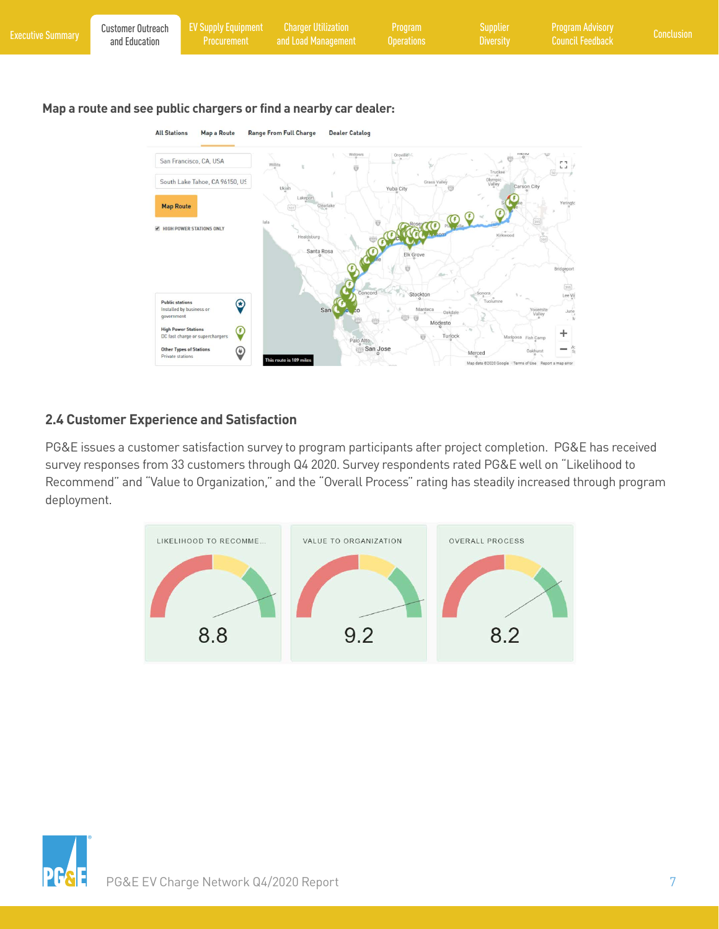<span id="page-10-0"></span>

| <b>Executive Summary</b> | <b>Customer Outreach</b><br>and Education | <b>EV Supply Equipment</b><br>Procurement                                                                  | <b>Charger Utilization</b><br>and Load Management                                                                                                                             | Program<br><b>Operations</b>                                       | <b>Supplier</b><br><b>Diversity</b>                     | <b>Program Advisory</b><br><b>Council Feedback</b>       | Conclusion |
|--------------------------|-------------------------------------------|------------------------------------------------------------------------------------------------------------|-------------------------------------------------------------------------------------------------------------------------------------------------------------------------------|--------------------------------------------------------------------|---------------------------------------------------------|----------------------------------------------------------|------------|
|                          | <b>All Stations</b><br><b>Map Route</b>   | <b>Map a Route</b><br>San Francisco, CA, USA<br>South Lake Tahoe, CA 96150, US<br>HIGH POWER STATIONS ONLY | Map a route and see public chargers or find a nearby car dealer:<br><b>Range From Full Charge</b><br><b>Dealer Catalog</b><br>Willows<br>Lakeport<br>Healdsburg<br>Santa Rosa | Oroville<br>Grass Valley<br>Yuba City<br><b>TO OP</b><br>Elk Grove | Truckee<br>Olympic<br>Valley<br>Carson City<br>Kirkwood | $L \rightarrow$<br>SO <sub>2</sub><br>Bridgeport<br>395) |            |
|                          | <b>Public stations</b><br>government      | $\bigcirc$<br>Installed by business or                                                                     | Concord<br>San <sup>(</sup>                                                                                                                                                   | Stockton<br>Oakdale                                                | Sonora<br>Tuolumne                                      | Lee Vir<br>Yosemite<br>June<br>Valley                    |            |

#### **2.4 Customer Experience and Satisfaction**

**High Power Stations**<br>DC fast charge or superchargers

Other Types of Stations

 $\bigcirc$ 

 $\odot$ 

PG&E issues a customer satisfaction survey to program participants after project completion. PG&E has received survey responses from 33 customers through Q4 2020. Survey respondents rated PG&E well on "Likelihood to Recommend" and "Value to Organization," and the "Overall Process" rating has steadily increased through program deployment.

Palo Alto

San Jose

Modesto

Turlock

Merced Map data @2020 G ÷

 $\frac{AC}{Q}$ 



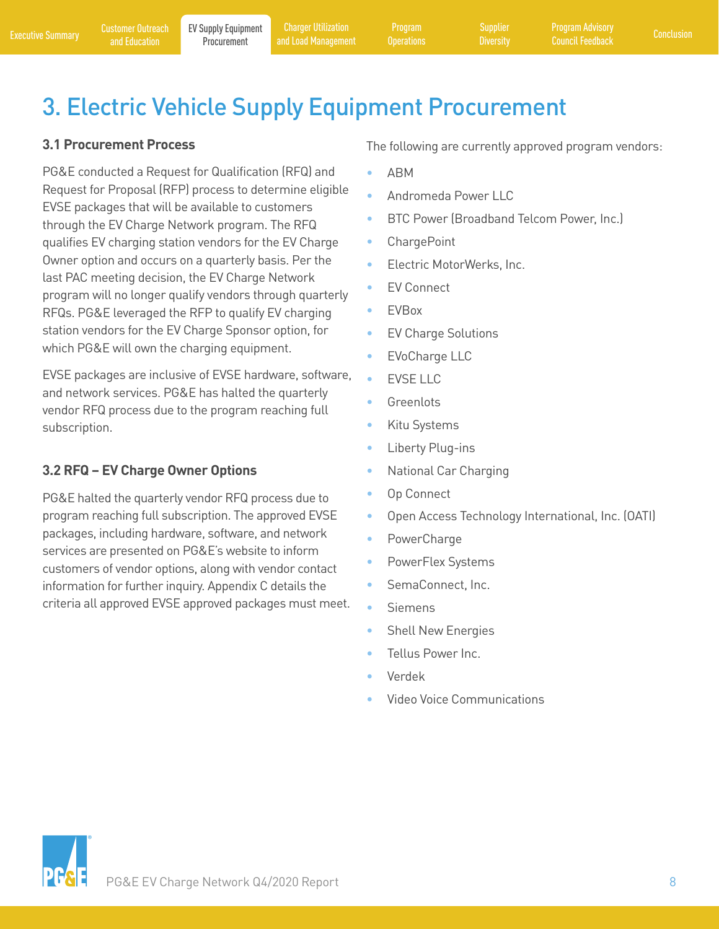Program

# <span id="page-11-0"></span>3. Electric Vehicle Supply Equipment Procurement

## **3.1 Procurement Process**

PG&E conducted a Request for Qualification (RFQ) and Request for Proposal (RFP) process to determine eligible EVSE packages that will be available to customers through the EV Charge Network program. The RFQ qualifies EV charging station vendors for the EV Charge Owner option and occurs on a quarterly basis. Per the last PAC meeting decision, the EV Charge Network program will no longer qualify vendors through quarterly RFQs. PG&E leveraged the RFP to qualify EV charging station vendors for the EV Charge Sponsor option, for which PG&E will own the charging equipment.

EVSE packages are inclusive of EVSE hardware, software, and network services. PG&E has halted the quarterly vendor RFQ process due to the program reaching full subscription.

# **3.2 RFQ – EV Charge Owner Options**

PG&E halted the quarterly vendor RFQ process due to program reaching full subscription. The approved EVSE packages, including hardware, software, and network services are presented on PG&E's website to inform customers of vendor options, along with vendor contact information for further inquiry. Appendix C details the criteria all approved EVSE approved packages must meet. The following are currently approved program vendors:

- ABM
- Andromeda Power LLC
- BTC Power (Broadband Telcom Power, Inc.)
- ChargePoint
- Electric MotorWerks, Inc.
- EV Connect
- EVBox
- EV Charge Solutions
- EVoCharge LLC
- **EVSE LLC**
- **Greenlots**
- Kitu Systems
- Liberty Plug-ins
- National Car Charging
- Op Connect
- Open Access Technology International, Inc. (OATI)
- PowerCharge
- PowerFlex Systems
- SemaConnect, Inc.
- Siemens
- Shell New Energies
- Tellus Power Inc.
- Verdek
- Video Voice Communications

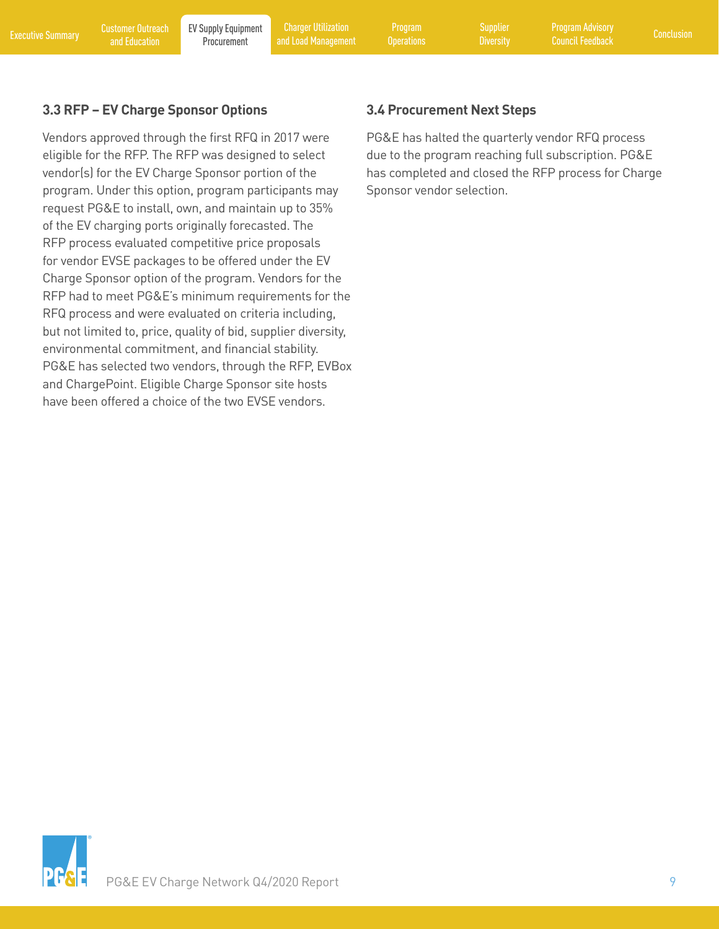<span id="page-12-0"></span>[Executive Summary](#page-4-0) Customer Outreach EV Supply Equipment Charger Utilization Program Supplier Program Advisory<br>Executive Summary and Education Procurement and Load Management Operations Diversity Council Feedback [Conclusion](#page-19-0) Charger Utilization [and Load Management](#page-13-0)

Program

**[Diversity](#page-17-0)** 

# **3.3 RFP – EV Charge Sponsor Options**

Vendors approved through the first RFQ in 2017 were eligible for the RFP. The RFP was designed to select vendor(s) for the EV Charge Sponsor portion of the program. Under this option, program participants may request PG&E to install, own, and maintain up to 35% of the EV charging ports originally forecasted. The RFP process evaluated competitive price proposals for vendor EVSE packages to be offered under the EV Charge Sponsor option of the program. Vendors for the RFP had to meet PG&E's minimum requirements for the RFQ process and were evaluated on criteria including, but not limited to, price, quality of bid, supplier diversity, environmental commitment, and financial stability. PG&E has selected two vendors, through the RFP, EVBox and ChargePoint. Eligible Charge Sponsor site hosts have been offered a choice of the two EVSE vendors.

### **3.4 Procurement Next Steps**

PG&E has halted the quarterly vendor RFQ process due to the program reaching full subscription. PG&E has completed and closed the RFP process for Charge Sponsor vendor selection.

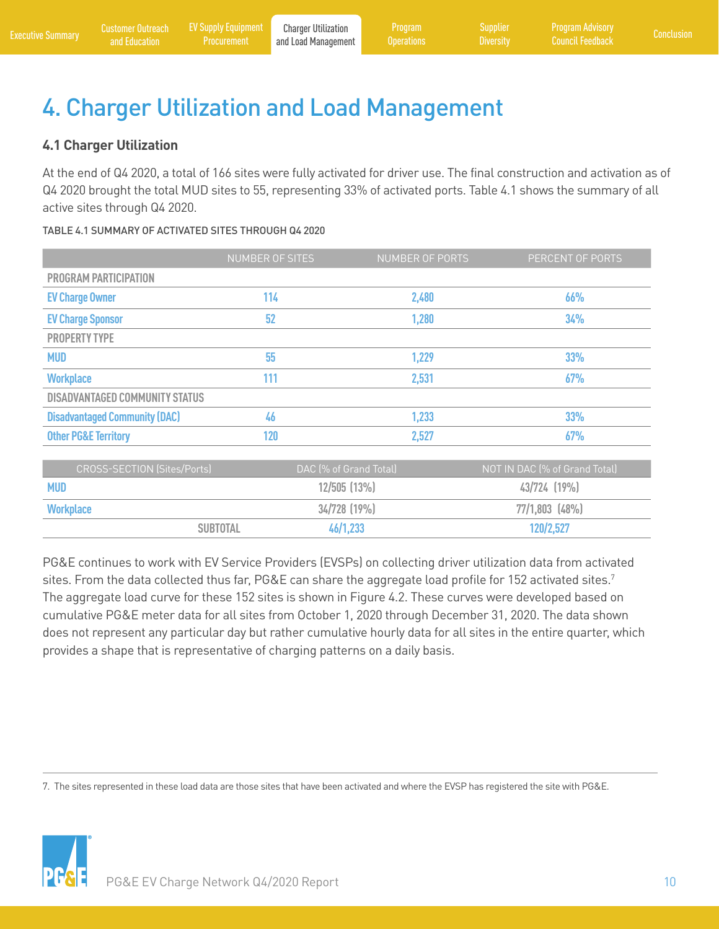# <span id="page-13-0"></span>4. Charger Utilization and Load Management

# **4.1 Charger Utilization**

At the end of Q4 2020, a total of 166 sites were fully activated for driver use. The final construction and activation as of Q4 2020 brought the total MUD sites to 55, representing 33% of activated ports. Table 4.1 shows the summary of all active sites through Q4 2020.

#### TABLE 4.1 SUMMARY OF ACTIVATED SITES THROUGH Q4 2020

|                                       | NUMBER OF SITES | NUMBER OF PORTS | PERCENT OF PORTS |
|---------------------------------------|-----------------|-----------------|------------------|
| PROGRAM PARTICIPATION                 |                 |                 |                  |
| <b>EV Charge Owner</b>                | 114             | 2,480           | 66%              |
| <b>EV Charge Sponsor</b>              | 52              | 1,280           | 34%              |
| <b>PROPERTY TYPE</b>                  |                 |                 |                  |
| <b>MUD</b>                            | 55              | 1,229           | 33%              |
| <b>Workplace</b>                      | 111             | 2,531           | 67%              |
| <b>DISADVANTAGED COMMUNITY STATUS</b> |                 |                 |                  |
| <b>Disadvantaged Community (DAC)</b>  | 46              | 1,233           | 33%              |
| <b>Other PG&amp;E Territory</b>       | 120             | 2,527           | 67%              |
|                                       |                 |                 |                  |

| CROSS-SECTION (Sites/Ports) | DAC (% of Grand Total) | NOT IN DAC (% of Grand Total) |
|-----------------------------|------------------------|-------------------------------|
| <b>MUD</b>                  | $12/505$ $(13\%)$      | $43/724$ $(19\%)$             |
| <b>Workplace</b>            | $34/728$ (19%)         | $77/1,803$ (48%)              |
| <b>SUBTOTAL</b>             | 46/1,233               | 120/2,527                     |

PG&E continues to work with EV Service Providers (EVSPs) on collecting driver utilization data from activated sites. From the data collected thus far, PG&E can share the aggregate load profile for 152 activated sites.<sup>7</sup> The aggregate load curve for these 152 sites is shown in Figure 4.2. These curves were developed based on cumulative PG&E meter data for all sites from October 1, 2020 through December 31, 2020. The data shown does not represent any particular day but rather cumulative hourly data for all sites in the entire quarter, which provides a shape that is representative of charging patterns on a daily basis.

7. The sites represented in these load data are those sites that have been activated and where the EVSP has registered the site with PG&E.

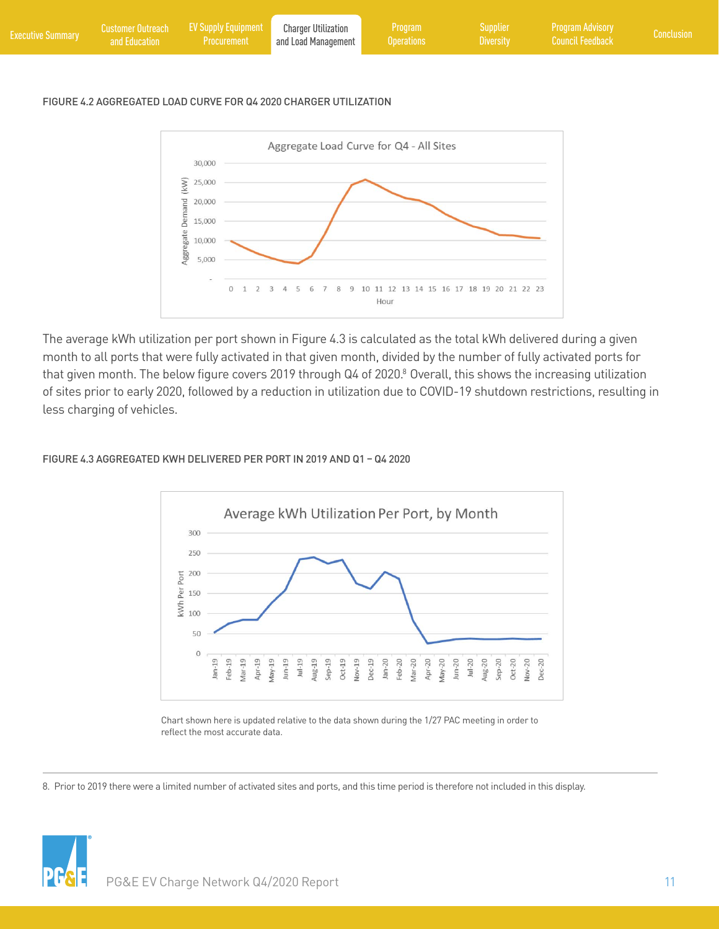| <b>Executive Summary</b> | and Education | Customer Outreach EV Supply Equipment<br>Procurement | <b>Charger Utilization</b><br>and Load Management | Program \<br><b>Querations</b> | Supplier<br><b>Diversity</b> | Program Advisory<br>  Council Feedback <sup>1</sup> | Conclusion , |
|--------------------------|---------------|------------------------------------------------------|---------------------------------------------------|--------------------------------|------------------------------|-----------------------------------------------------|--------------|
|                          |               |                                                      |                                                   |                                |                              |                                                     |              |

#### FIGURE 4.2 AGGREGATED LOAD CURVE FOR Q4 2020 CHARGER UTILIZATION



The average kWh utilization per port shown in Figure 4.3 is calculated as the total kWh delivered during a given month to all ports that were fully activated in that given month, divided by the number of fully activated ports for that given month. The below figure covers 2019 through Q4 of 2020.8 Overall, this shows the increasing utilization of sites prior to early 2020, followed by a reduction in utilization due to COVID-19 shutdown restrictions, resulting in less charging of vehicles.

#### FIGURE 4.3 AGGREGATED KWH DELIVERED PER PORT IN 2019 AND Q1 – Q4 2020



Chart shown here is updated relative to the data shown during the 1/27 PAC meeting in order to reflect the most accurate data.

8. Prior to 2019 there were a limited number of activated sites and ports, and this time period is therefore not included in this display.

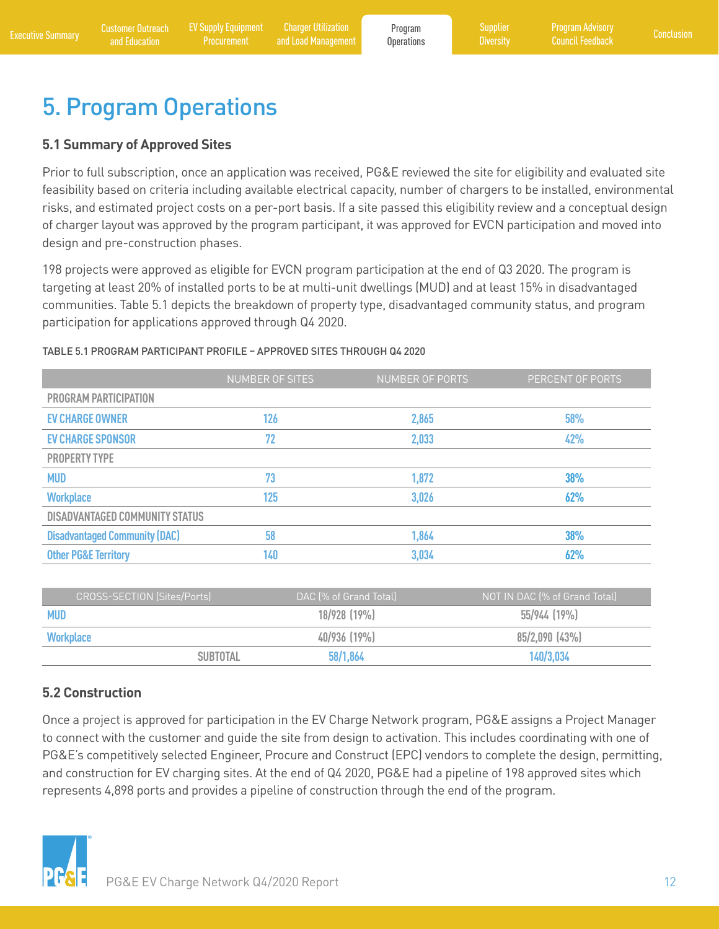# <span id="page-15-0"></span>5. Program Operations

#### **5.1 Summary of Approved Sites**

Prior to full subscription, once an application was received, PG&E reviewed the site for eligibility and evaluated site feasibility based on criteria including available electrical capacity, number of chargers to be installed, environmental risks, and estimated project costs on a per-port basis. If a site passed this eligibility review and a conceptual design of charger layout was approved by the program participant, it was approved for EVCN participation and moved into design and pre-construction phases.

198 projects were approved as eligible for EVCN program participation at the end of Q3 2020. The program is targeting at least 20% of installed ports to be at multi-unit dwellings (MUD) and at least 15% in disadvantaged communities. Table 5.1 depicts the breakdown of property type, disadvantaged community status, and program participation for applications approved through Q4 2020.

#### TABLE 5.1 PROGRAM PARTICIPANT PROFILE – APPROVED SITES THROUGH Q4 2020

|                                       | <b>NUMBER OF SITES</b> | NUMBER OF PORTS | PERCENT OF PORTS |
|---------------------------------------|------------------------|-----------------|------------------|
| <b>PROGRAM PARTICIPATION</b>          |                        |                 |                  |
| <b>EV CHARGE OWNER</b>                | 126                    | 2,865           | 58%              |
| <b>EV CHARGE SPONSOR</b>              | 72                     | 2,033           | 42%              |
| <b>PROPERTY TYPE</b>                  |                        |                 |                  |
| <b>MUD</b>                            | 73                     | 1,872           | 38%              |
| <b>Workplace</b>                      | 125                    | 3,026           | 62%              |
| <b>DISADVANTAGED COMMUNITY STATUS</b> |                        |                 |                  |
| <b>Disadvantaged Community (DAC)</b>  | 58                     | 1,864           | 38%              |
| <b>Other PG&amp;E Territory</b>       | 140                    | 3,034           | 62%              |

| <b>CROSS-SECTION (Sites/Ports)</b> | DAC (% of Grand Total) | NOT IN DAC (% of Grand Total) |
|------------------------------------|------------------------|-------------------------------|
| <b>MUD</b>                         | $18/928$ $(19\%)$      | 55/944 (19%)                  |
| <b>Workplace</b>                   | $40/936$ (19%)         | $85/2,090$ $(43\%)$           |
| <b>SUBTOTAL</b>                    | 58/1,864               | 140/3,034                     |

#### **5.2 Construction**

Once a project is approved for participation in the EV Charge Network program, PG&E assigns a Project Manager to connect with the customer and guide the site from design to activation. This includes coordinating with one of PG&E's competitively selected Engineer, Procure and Construct (EPC) vendors to complete the design, permitting, and construction for EV charging sites. At the end of Q4 2020, PG&E had a pipeline of 198 approved sites which represents 4,898 ports and provides a pipeline of construction through the end of the program.

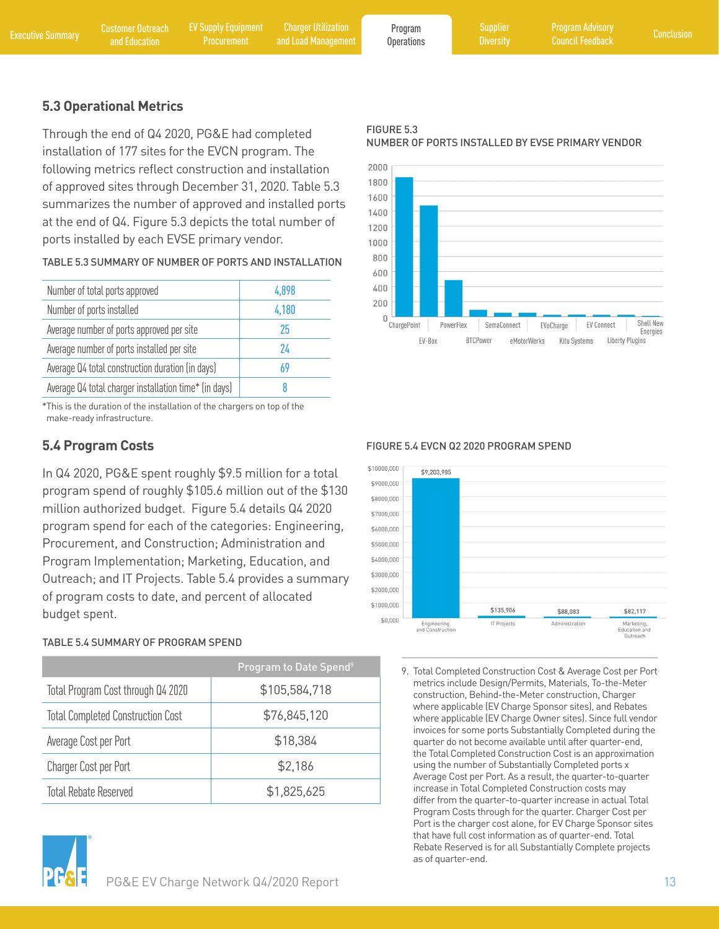Program **[Operations](#page-17-0)** 

FIGURE 5.3

**[Diversity](#page-17-0)** 

### <span id="page-16-0"></span>**5.3 Operational Metrics**

Through the end of Q4 2020, PG&E had completed installation of 177 sites for the EVCN program. The following metrics reflect construction and installation of approved sites through December 31, 2020. Table 5.3 summarizes the number of approved and installed ports at the end of Q4. Figure 5.3 depicts the total number of ports installed by each EVSE primary vendor.

TABLE 5.3 SUMMARY OF NUMBER OF PORTS AND INSTALLATION

| Number of total ports approved                        | 4.898 |
|-------------------------------------------------------|-------|
| Number of ports installed                             | 4,180 |
| Average number of ports approved per site             | 25    |
| Average number of ports installed per site            | 74    |
| Average Q4 total construction duration (in days)      | 69    |
| Average Q4 total charger installation time* (in days) |       |

\* This is the duration of the installation of the chargers on top of the make-ready infrastructure.

## **5.4 Program Costs**

In Q4 2020, PG&E spent roughly \$9.5 million for a total program spend of roughly \$105.6 million out of the \$130 million authorized budget. Figure 5.4 details Q4 2020 program spend for each of the categories: Engineering, Procurement, and Construction; Administration and Program Implementation; Marketing, Education, and Outreach; and IT Projects. Table 5.4 provides a summary of program costs to date, and percent of allocated budget spent.

#### TABLE 5.4 SUMMARY OF PROGRAM SPEND

|                                          | Program to Date Spend <sup>9</sup> |  |  |
|------------------------------------------|------------------------------------|--|--|
| Total Program Cost through Q4 2020       | \$105,584,718                      |  |  |
| <b>Total Completed Construction Cost</b> | \$76,845,120                       |  |  |
| Average Cost per Port                    | \$18,384                           |  |  |
| <b>Charger Cost per Port</b>             | \$2,186                            |  |  |
| <b>Total Rebate Reserved</b>             | \$1,825,625                        |  |  |





FIGURE 5.4 EVCN Q2 2020 PROGRAM SPEND



9. Total Completed Construction Cost & Average Cost per Port metrics include Design/Permits, Materials, To-the-Meter construction, Behind-the-Meter construction, Charger where applicable (EV Charge Sponsor sites), and Rebates where applicable (EV Charge Owner sites). Since full vendor invoices for some ports Substantially Completed during the quarter do not become available until after quarter-end, the Total Completed Construction Cost is an approximation using the number of Substantially Completed ports x Average Cost per Port. As a result, the quarter-to-quarter increase in Total Completed Construction costs may differ from the quarter-to-quarter increase in actual Total Program Costs through for the quarter. Charger Cost per Port is the charger cost alone, for EV Charge Sponsor sites that have full cost information as of quarter-end. Total Rebate Reserved is for all Substantially Complete projects as of quarter-end.

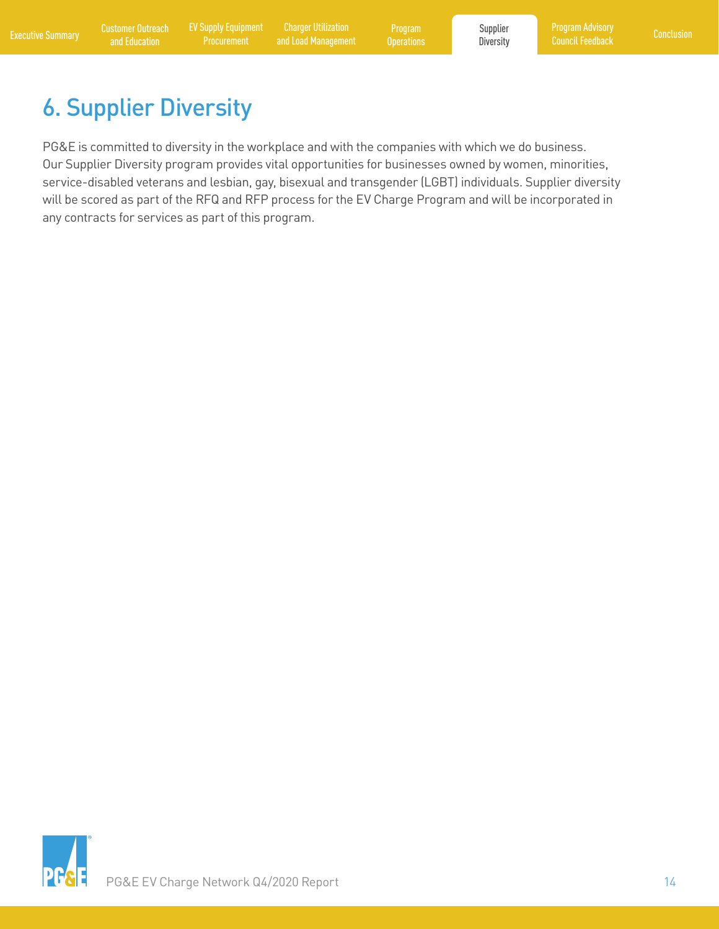<span id="page-17-0"></span>[Executive Summary](#page-4-0) Customer Outreach [EV Supply Equipment](#page-11-0) Charger Utilization Program Burgaran Supplier Program Advisory<br>Executive Summary and Education Procurement and Load Management Operations Diversity Council Feedback C Charger Utilization [and Load Management](#page-13-0)

Program **[Operations](#page-15-0)**  Supplier **Diversity** 

# 6. Supplier Diversity

PG&E is committed to diversity in the workplace and with the companies with which we do business. Our Supplier Diversity program provides vital opportunities for businesses owned by women, minorities, service-disabled veterans and lesbian, gay, bisexual and transgender (LGBT) individuals. Supplier diversity will be scored as part of the RFQ and RFP process for the EV Charge Program and will be incorporated in any contracts for services as part of this program.

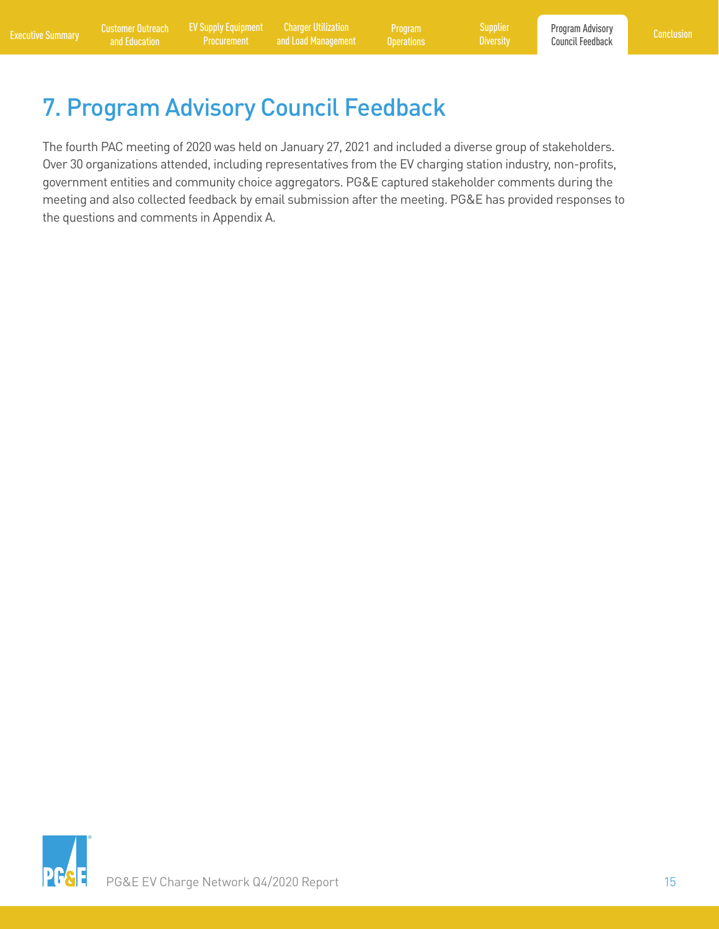Charger Utilization [and Load Management](#page-13-0)

Program **[Operations](#page-15-0)** 

# <span id="page-18-0"></span>7. Program Advisory Council Feedback

The fourth PAC meeting of 2020 was held on January 27, 2021 and included a diverse group of stakeholders. Over 30 organizations attended, including representatives from the EV charging station industry, non-profits, government entities and community choice aggregators. PG&E captured stakeholder comments during the meeting and also collected feedback by email submission after the meeting. PG&E has provided responses to the questions and comments in Appendix A.

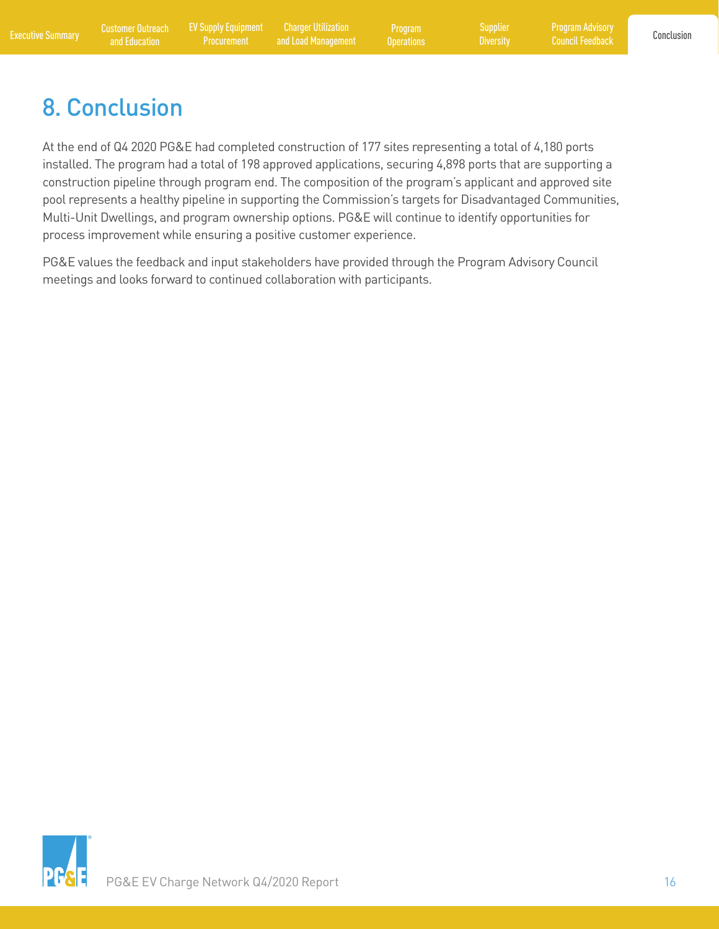[Program Advisory](#page-18-0)  Council Feedback

# <span id="page-19-0"></span>8. Conclusion

At the end of Q4 2020 PG&E had completed construction of 177 sites representing a total of 4,180 ports installed. The program had a total of 198 approved applications, securing 4,898 ports that are supporting a construction pipeline through program end. The composition of the program's applicant and approved site pool represents a healthy pipeline in supporting the Commission's targets for Disadvantaged Communities, Multi-Unit Dwellings, and program ownership options. PG&E will continue to identify opportunities for process improvement while ensuring a positive customer experience.

PG&E values the feedback and input stakeholders have provided through the Program Advisory Council meetings and looks forward to continued collaboration with participants.

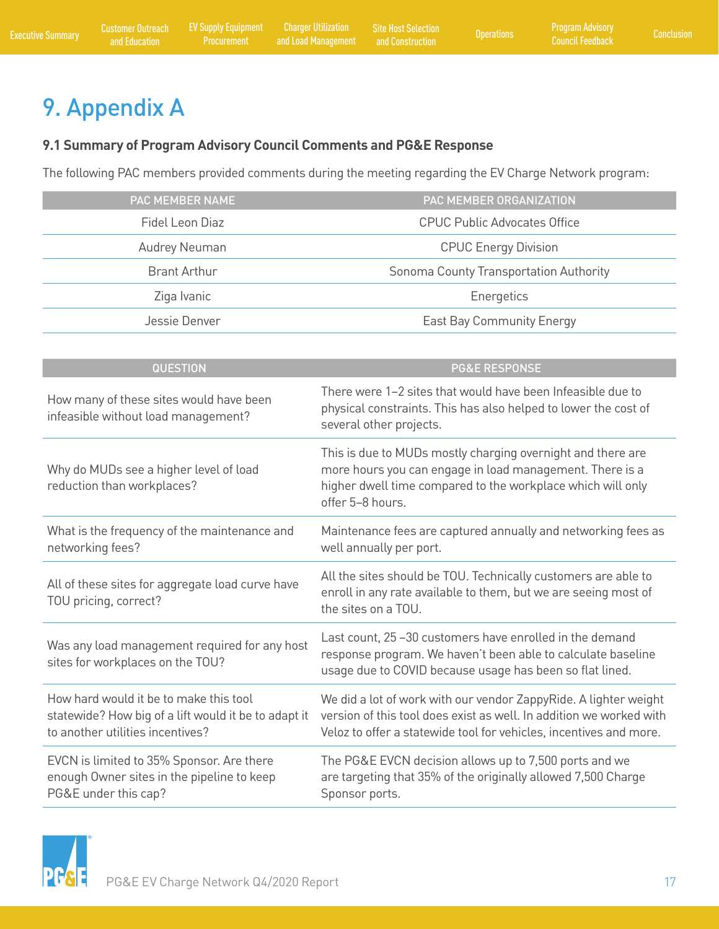# <span id="page-20-0"></span>9. Appendix A

### **9.1 Summary of Program Advisory Council Comments and PG&E Response**

The following PAC members provided comments during the meeting regarding the EV Charge Network program:

| PAC MEMBER NAME     | PAC MEMBER ORGANIZATION                |  |  |
|---------------------|----------------------------------------|--|--|
| Fidel Leon Diaz     | <b>CPUC Public Advocates Office</b>    |  |  |
| Audrey Neuman       | <b>CPUC Energy Division</b>            |  |  |
| <b>Brant Arthur</b> | Sonoma County Transportation Authority |  |  |
| Ziga Ivanic         | Energetics                             |  |  |
| Jessie Denver       | East Bay Community Energy              |  |  |

| <b>QUESTION</b>                                                                                                                    | <b>PG&amp;E RESPONSE</b>                                                                                                                                                                                      |  |  |
|------------------------------------------------------------------------------------------------------------------------------------|---------------------------------------------------------------------------------------------------------------------------------------------------------------------------------------------------------------|--|--|
| How many of these sites would have been<br>infeasible without load management?                                                     | There were 1-2 sites that would have been Infeasible due to<br>physical constraints. This has also helped to lower the cost of<br>several other projects.                                                     |  |  |
| Why do MUDs see a higher level of load<br>reduction than workplaces?                                                               | This is due to MUDs mostly charging overnight and there are<br>more hours you can engage in load management. There is a<br>higher dwell time compared to the workplace which will only<br>offer 5-8 hours.    |  |  |
| What is the frequency of the maintenance and<br>networking fees?                                                                   | Maintenance fees are captured annually and networking fees as<br>well annually per port.                                                                                                                      |  |  |
| All of these sites for aggregate load curve have<br>TOU pricing, correct?                                                          | All the sites should be TOU. Technically customers are able to<br>enroll in any rate available to them, but we are seeing most of<br>the sites on a TOU.                                                      |  |  |
| Was any load management required for any host<br>sites for workplaces on the TOU?                                                  | Last count, 25 -30 customers have enrolled in the demand<br>response program. We haven't been able to calculate baseline<br>usage due to COVID because usage has been so flat lined.                          |  |  |
| How hard would it be to make this tool<br>statewide? How big of a lift would it be to adapt it<br>to another utilities incentives? | We did a lot of work with our vendor ZappyRide. A lighter weight<br>version of this tool does exist as well. In addition we worked with<br>Veloz to offer a statewide tool for vehicles, incentives and more. |  |  |
| EVCN is limited to 35% Sponsor. Are there<br>enough Owner sites in the pipeline to keep<br>PG&E under this cap?                    | The PG&E EVCN decision allows up to 7,500 ports and we<br>are targeting that 35% of the originally allowed 7,500 Charge<br>Sponsor ports.                                                                     |  |  |

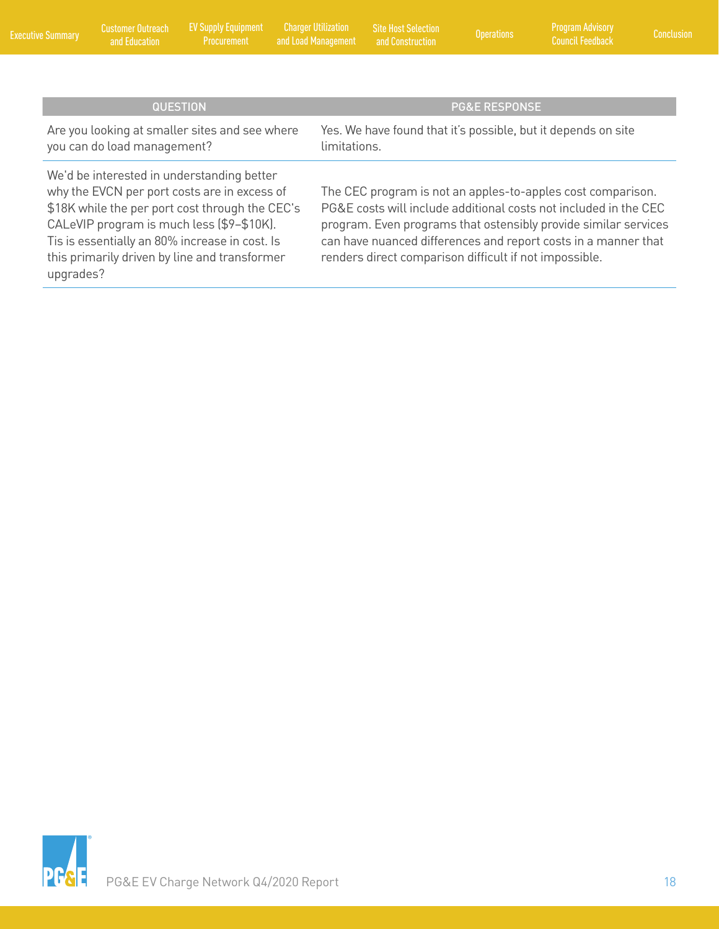| <b>Executive Summary</b>                                                                                                                                                                                                                                                                                   | <b>Customer Outreach</b><br>and Education | <b>EV Supply Equipment</b><br>Procurement      | <b>Charger Utilization</b><br>and Load Management | <b>Site Host Selection</b><br>and Construction                                                                                                                                                                                                                                                                                 | <b>Operations</b>        | <b>Program Advisory</b><br><b>Council Feedback</b>            | Conclusion |
|------------------------------------------------------------------------------------------------------------------------------------------------------------------------------------------------------------------------------------------------------------------------------------------------------------|-------------------------------------------|------------------------------------------------|---------------------------------------------------|--------------------------------------------------------------------------------------------------------------------------------------------------------------------------------------------------------------------------------------------------------------------------------------------------------------------------------|--------------------------|---------------------------------------------------------------|------------|
|                                                                                                                                                                                                                                                                                                            |                                           |                                                |                                                   |                                                                                                                                                                                                                                                                                                                                |                          |                                                               |            |
|                                                                                                                                                                                                                                                                                                            |                                           | <b>QUESTION</b>                                |                                                   |                                                                                                                                                                                                                                                                                                                                | <b>PG&amp;E RESPONSE</b> |                                                               |            |
|                                                                                                                                                                                                                                                                                                            | you can do load management?               | Are you looking at smaller sites and see where | limitations.                                      |                                                                                                                                                                                                                                                                                                                                |                          | Yes. We have found that it's possible, but it depends on site |            |
| We'd be interested in understanding better<br>why the EVCN per port costs are in excess of<br>\$18K while the per port cost through the CEC's<br>CALeVIP program is much less (\$9-\$10K).<br>Tis is essentially an 80% increase in cost. Is<br>this primarily driven by line and transformer<br>upgrades? |                                           |                                                |                                                   | The CEC program is not an apples-to-apples cost comparison.<br>PG&E costs will include additional costs not included in the CEC<br>program. Even programs that ostensibly provide similar services<br>can have nuanced differences and report costs in a manner that<br>renders direct comparison difficult if not impossible. |                          |                                                               |            |

[Program Advisory](#page-18-0) 

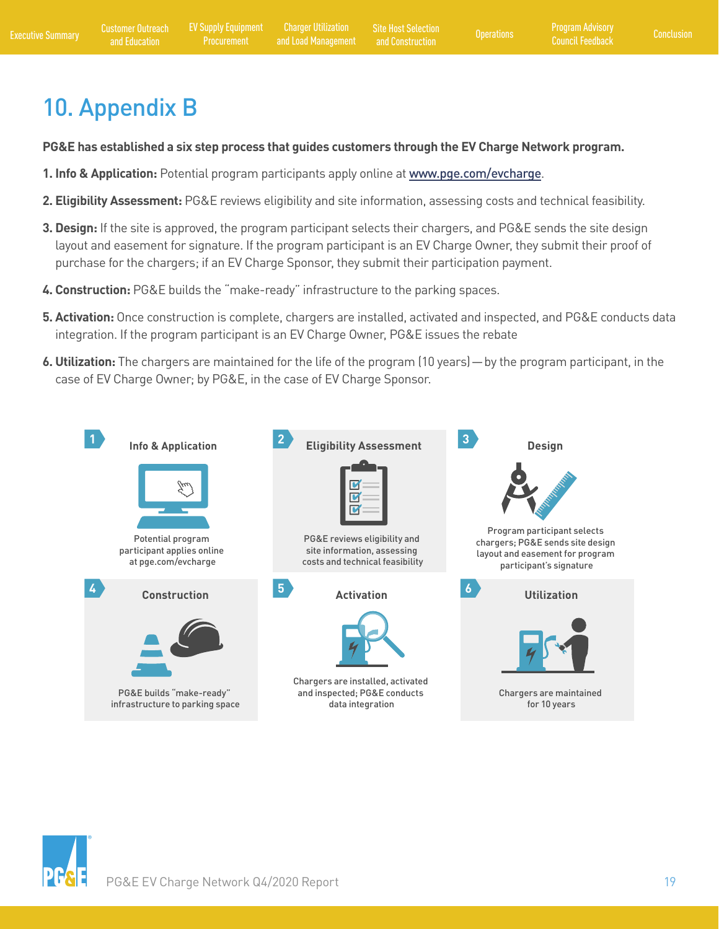# 10. Appendix B

**PG&E has established a six step process that guides customers through the EV Charge Network program.** 

- **1. Info & Application:** Potential program participants apply online at [www.pge.com/evcharge](http://www.pge.com/evcharge).
- **2. Eligibility Assessment:** PG&E reviews eligibility and site information, assessing costs and technical feasibility.
- **3. Design:** If the site is approved, the program participant selects their chargers, and PG&E sends the site design layout and easement for signature. If the program participant is an EV Charge Owner, they submit their proof of purchase for the chargers; if an EV Charge Sponsor, they submit their participation payment.
- **4. Construction:** PG&E builds the "make-ready" infrastructure to the parking spaces.
- **5. Activation:** Once construction is complete, chargers are installed, activated and inspected, and PG&E conducts data integration. If the program participant is an EV Charge Owner, PG&E issues the rebate
- **6. Utilization:** The chargers are maintained for the life of the program (10 years) by the program participant, in the case of EV Charge Owner; by PG&E, in the case of EV Charge Sponsor.